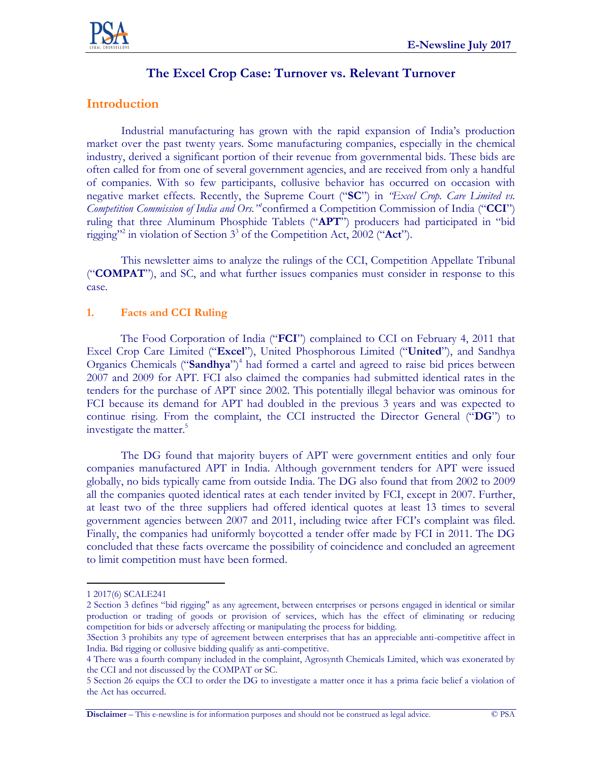# **The Excel Crop Case: Turnover vs. Relevant Turnover**

## **Introduction**

Industrial manufacturing has grown with the rapid expansion of India's production market over the past twenty years. Some manufacturing companies, especially in the chemical industry, derived a significant portion of their revenue from governmental bids. These bids are often called for from one of several government agencies, and are received from only a handful of companies. With so few participants, collusive behavior has occurred on occasion with negative market effects. Recently, the Supreme Court ("**SC**") in *"Excel Crop. Care Limited vs.*  Competition Commission of India and Ors."<sup>*n*</sup> confirmed a Competition Commission of India ("CCI") ruling that three Aluminum Phosphide Tablets ("**APT**") producers had participated in "bid rigging"<sup>2</sup> in violation of Section 3<sup>3</sup> of the Competition Act, 2002 ("**Act**").

This newsletter aims to analyze the rulings of the CCI, Competition Appellate Tribunal ("**COMPAT**"), and SC, and what further issues companies must consider in response to this case.

### **1. Facts and CCI Ruling**

The Food Corporation of India ("**FCI**") complained to CCI on February 4, 2011 that Excel Crop Care Limited ("**Excel**"), United Phosphorous Limited ("**United**"), and Sandhya Organics Chemicals ("Sandhya")<sup>4</sup> had formed a cartel and agreed to raise bid prices between 2007 and 2009 for APT. FCI also claimed the companies had submitted identical rates in the tenders for the purchase of APT since 2002. This potentially illegal behavior was ominous for FCI because its demand for APT had doubled in the previous 3 years and was expected to continue rising. From the complaint, the CCI instructed the Director General ("**DG**") to investigate the matter.<sup>5</sup>

The DG found that majority buyers of APT were government entities and only four companies manufactured APT in India. Although government tenders for APT were issued globally, no bids typically came from outside India. The DG also found that from 2002 to 2009 all the companies quoted identical rates at each tender invited by FCI, except in 2007. Further, at least two of the three suppliers had offered identical quotes at least 13 times to several government agencies between 2007 and 2011, including twice after FCI's complaint was filed. Finally, the companies had uniformly boycotted a tender offer made by FCI in 2011. The DG concluded that these facts overcame the possibility of coincidence and concluded an agreement to limit competition must have been formed.

 $\overline{a}$ 

**Disclaimer** – This e-newsline is for information purposes and should not be construed as legal advice. © PSA

<sup>1</sup> 2017(6) SCALE241

<sup>2</sup> Section 3 defines "bid rigging" as any agreement, between enterprises or persons engaged in identical or similar production or trading of goods or provision of services, which has the effect of eliminating or reducing competition for bids or adversely affecting or manipulating the process for bidding.

<sup>3</sup>Section 3 prohibits any type of agreement between enterprises that has an appreciable anti-competitive affect in India. Bid rigging or collusive bidding qualify as anti-competitive.

<sup>4</sup> There was a fourth company included in the complaint, Agrosynth Chemicals Limited, which was exonerated by the CCI and not discussed by the COMPAT or SC.

<sup>5</sup> Section 26 equips the CCI to order the DG to investigate a matter once it has a prima facie belief a violation of the Act has occurred.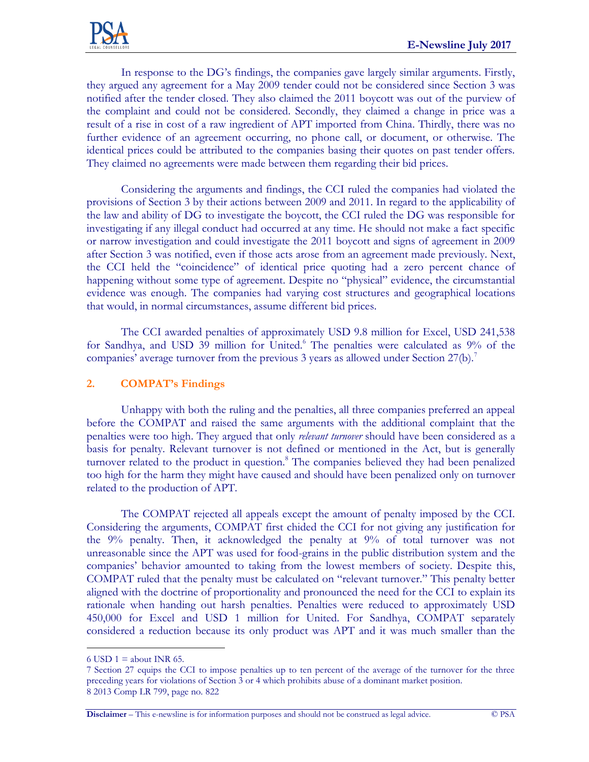

In response to the DG's findings, the companies gave largely similar arguments. Firstly, they argued any agreement for a May 2009 tender could not be considered since Section 3 was notified after the tender closed. They also claimed the 2011 boycott was out of the purview of the complaint and could not be considered. Secondly, they claimed a change in price was a result of a rise in cost of a raw ingredient of APT imported from China. Thirdly, there was no further evidence of an agreement occurring, no phone call, or document, or otherwise. The identical prices could be attributed to the companies basing their quotes on past tender offers. They claimed no agreements were made between them regarding their bid prices.

Considering the arguments and findings, the CCI ruled the companies had violated the provisions of Section 3 by their actions between 2009 and 2011. In regard to the applicability of the law and ability of DG to investigate the boycott, the CCI ruled the DG was responsible for investigating if any illegal conduct had occurred at any time. He should not make a fact specific or narrow investigation and could investigate the 2011 boycott and signs of agreement in 2009 after Section 3 was notified, even if those acts arose from an agreement made previously. Next, the CCI held the "coincidence" of identical price quoting had a zero percent chance of happening without some type of agreement. Despite no "physical" evidence, the circumstantial evidence was enough. The companies had varying cost structures and geographical locations that would, in normal circumstances, assume different bid prices.

The CCI awarded penalties of approximately USD 9.8 million for Excel, USD 241,538 for Sandhya, and USD 39 million for United.<sup>6</sup> The penalties were calculated as 9% of the companies' average turnover from the previous 3 years as allowed under Section 27(b).<sup>7</sup>

#### **2. COMPAT's Findings**

Unhappy with both the ruling and the penalties, all three companies preferred an appeal before the COMPAT and raised the same arguments with the additional complaint that the penalties were too high. They argued that only *relevant turnover* should have been considered as a basis for penalty. Relevant turnover is not defined or mentioned in the Act, but is generally turnover related to the product in question.<sup>8</sup> The companies believed they had been penalized too high for the harm they might have caused and should have been penalized only on turnover related to the production of APT.

The COMPAT rejected all appeals except the amount of penalty imposed by the CCI. Considering the arguments, COMPAT first chided the CCI for not giving any justification for the 9% penalty. Then, it acknowledged the penalty at 9% of total turnover was not unreasonable since the APT was used for food-grains in the public distribution system and the companies' behavior amounted to taking from the lowest members of society. Despite this, COMPAT ruled that the penalty must be calculated on "relevant turnover." This penalty better aligned with the doctrine of proportionality and pronounced the need for the CCI to explain its rationale when handing out harsh penalties. Penalties were reduced to approximately USD 450,000 for Excel and USD 1 million for United. For Sandhya, COMPAT separately considered a reduction because its only product was APT and it was much smaller than the

 $\overline{a}$ 

<sup>6</sup> USD  $1 =$  about INR 65.

<sup>7</sup> Section 27 equips the CCI to impose penalties up to ten percent of the average of the turnover for the three preceding years for violations of Section 3 or 4 which prohibits abuse of a dominant market position. 8 2013 Comp LR 799, page no. 822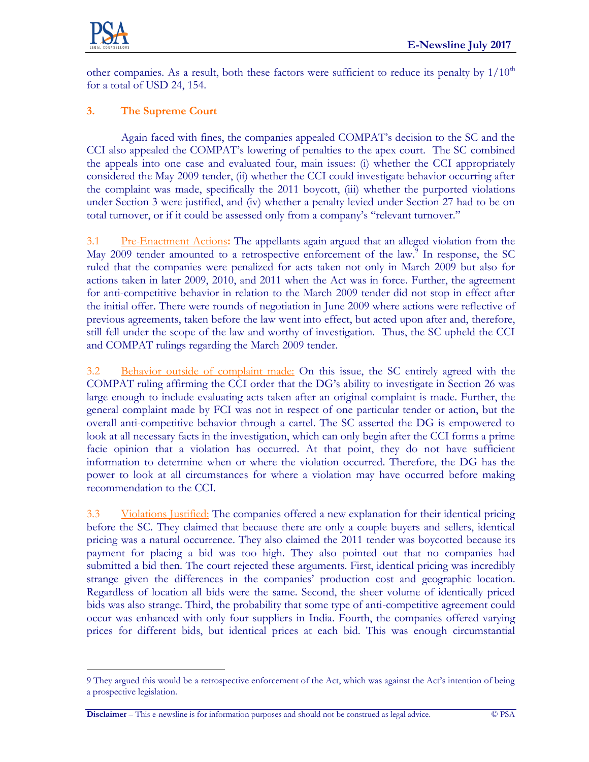

 $\overline{a}$ 

other companies. As a result, both these factors were sufficient to reduce its penalty by  $1/10<sup>th</sup>$ for a total of USD 24, 154.

## **3. The Supreme Court**

Again faced with fines, the companies appealed COMPAT's decision to the SC and the CCI also appealed the COMPAT's lowering of penalties to the apex court. The SC combined the appeals into one case and evaluated four, main issues: (i) whether the CCI appropriately considered the May 2009 tender, (ii) whether the CCI could investigate behavior occurring after the complaint was made, specifically the 2011 boycott, (iii) whether the purported violations under Section 3 were justified, and (iv) whether a penalty levied under Section 27 had to be on total turnover, or if it could be assessed only from a company's "relevant turnover."

3.1 Pre-Enactment Actions**:** The appellants again argued that an alleged violation from the May 2009 tender amounted to a retrospective enforcement of the law.<sup>9</sup> In response, the SC ruled that the companies were penalized for acts taken not only in March 2009 but also for actions taken in later 2009, 2010, and 2011 when the Act was in force. Further, the agreement for anti-competitive behavior in relation to the March 2009 tender did not stop in effect after the initial offer. There were rounds of negotiation in June 2009 where actions were reflective of previous agreements, taken before the law went into effect, but acted upon after and, therefore, still fell under the scope of the law and worthy of investigation. Thus, the SC upheld the CCI and COMPAT rulings regarding the March 2009 tender.

3.2 Behavior outside of complaint made: On this issue, the SC entirely agreed with the COMPAT ruling affirming the CCI order that the DG's ability to investigate in Section 26 was large enough to include evaluating acts taken after an original complaint is made. Further, the general complaint made by FCI was not in respect of one particular tender or action, but the overall anti-competitive behavior through a cartel. The SC asserted the DG is empowered to look at all necessary facts in the investigation, which can only begin after the CCI forms a prime facie opinion that a violation has occurred. At that point, they do not have sufficient information to determine when or where the violation occurred. Therefore, the DG has the power to look at all circumstances for where a violation may have occurred before making recommendation to the CCI.

3.3 Violations Justified: The companies offered a new explanation for their identical pricing before the SC. They claimed that because there are only a couple buyers and sellers, identical pricing was a natural occurrence. They also claimed the 2011 tender was boycotted because its payment for placing a bid was too high. They also pointed out that no companies had submitted a bid then. The court rejected these arguments. First, identical pricing was incredibly strange given the differences in the companies' production cost and geographic location. Regardless of location all bids were the same. Second, the sheer volume of identically priced bids was also strange. Third, the probability that some type of anti-competitive agreement could occur was enhanced with only four suppliers in India. Fourth, the companies offered varying prices for different bids, but identical prices at each bid. This was enough circumstantial

<sup>9</sup> They argued this would be a retrospective enforcement of the Act, which was against the Act's intention of being a prospective legislation.